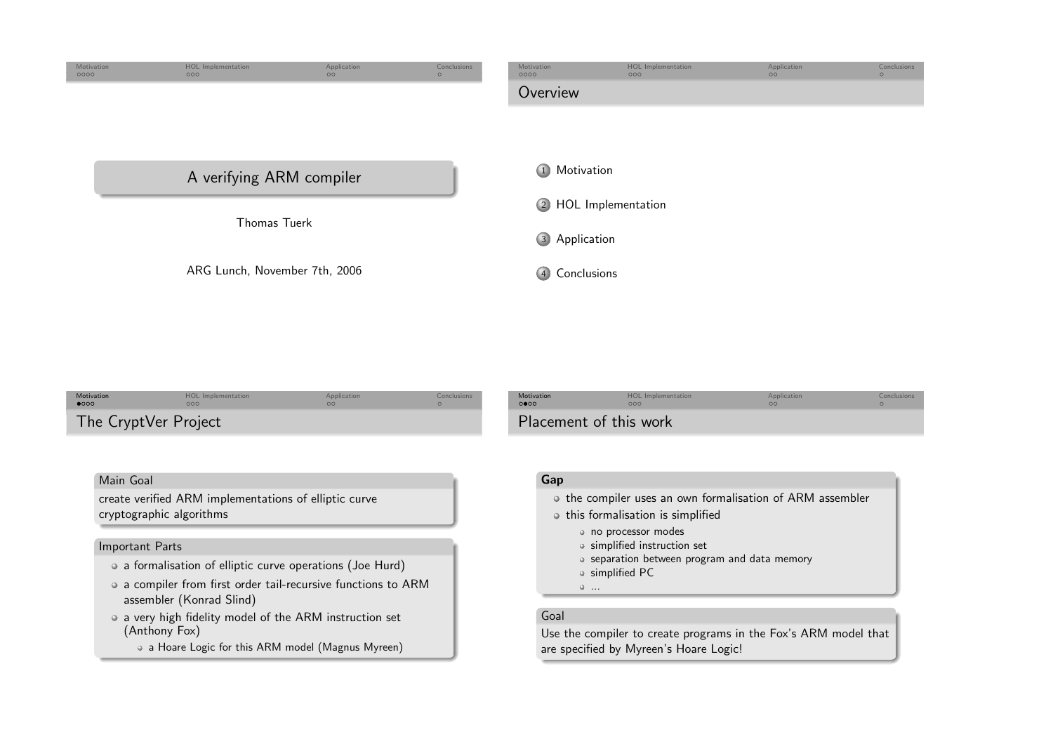<span id="page-0-0"></span>

| Motivation<br>0000   | <b>HOL</b> Implementation<br>000                                                          | Application<br>00 | Conclusions | Motivation<br>0000 | <b>HOL</b> Implementation<br>000                                                                                        | Application<br>$\Omega$ | Conclusions |
|----------------------|-------------------------------------------------------------------------------------------|-------------------|-------------|--------------------|-------------------------------------------------------------------------------------------------------------------------|-------------------------|-------------|
| The CryptVer Project |                                                                                           |                   |             |                    | Placement of this work                                                                                                  |                         |             |
| Main Goal            |                                                                                           |                   |             | Gap                |                                                                                                                         |                         |             |
|                      | create verified ARM implementations of elliptic curve<br>cryptographic algorithms         |                   |             |                    | o the compiler uses an own formalisation of ARM assembler<br>o this formalisation is simplified<br>• no processor modes |                         |             |
| Important Parts      |                                                                                           |                   |             |                    | • simplified instruction set                                                                                            |                         |             |
|                      | · a formalisation of elliptic curve operations (Joe Hurd)                                 |                   |             |                    | • separation between program and data memory<br>• simplified PC                                                         |                         |             |
|                      | • a compiler from first order tail-recursive functions to ARM<br>assembler (Konrad Slind) |                   |             |                    | $0$ .                                                                                                                   |                         |             |
|                      | o a very high fidelity model of the ARM instruction set                                   |                   |             | Goal               |                                                                                                                         |                         |             |
|                      | (Anthony Fox)                                                                             |                   |             |                    | Use the compiler to create programs in the Fox's ARM model that                                                         |                         |             |

are specified by Myreen's Hoare Logic!

<sup>a</sup> Hoare Logic for this ARM model (Magnus Myreen)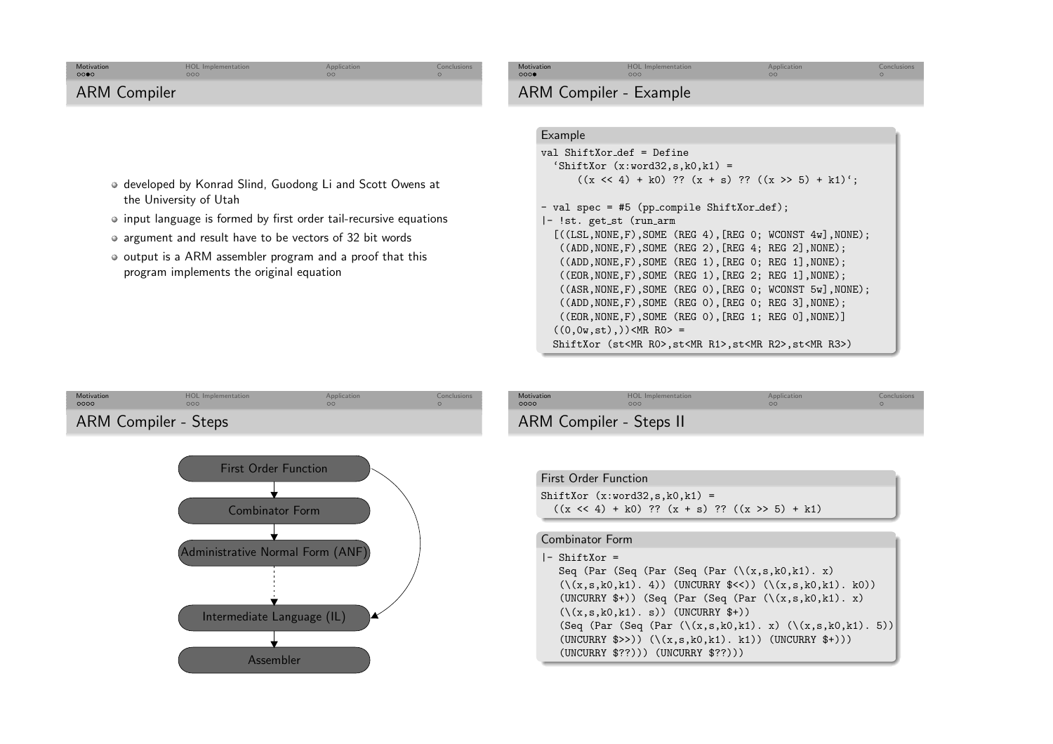<span id="page-1-0"></span>

| Motivation<br>0000  | <b>HOL</b> Implementation<br>000 | Application<br>$\circ$ | Conclusions | Motivation<br>000      | <b>HOL</b> Implementation<br>000 | Application<br>00 <sup>o</sup> | Conclusions |
|---------------------|----------------------------------|------------------------|-------------|------------------------|----------------------------------|--------------------------------|-------------|
| <b>ARM Compiler</b> |                                  |                        |             | ARM Compiler - Example |                                  |                                |             |
|                     |                                  |                        |             |                        |                                  |                                |             |

- developed by Konrad Slind, Guodong Li and Scott Owens atthe University of Utah
- input language is formed by first order tail-recursive equations
- argument and result have to be vectors of <sup>32</sup> bit words
- output is <sup>a</sup> ARM assembler program and <sup>a</sup> proof that thisprogram implements the original equation

#### Example

```

val ShiftXor def = Define
  '\text{ShiftXor } (x:word32.s.k0.k1) =((x \le 4) + k0) ?? (x + s) ?? ((x \ge 5) + k1)';
- val spec = #5 (pp_compile ShiftXor_def);
|- !st. get_st (run_arm
 [((LSL, NONE, F), SOME (REG 4), [REG 0; WCONST 4w], NONE);((ADD,NONE,F),SOME (REG 2),[REG 4; REG 2],NONE);
  ((ADD,NONE,F),SOME (REG 1),[REG 0; REG 1],NONE);
   ((EOR, NONE, F), SOME (REG 1), [REG 2; REG 1], NONE);((ASR,NONE,F),SOME (REG 0),[REG 0; WCONST 5w],NONE);
  ((ADD,NONE,F),SOME (REG 0),[REG 0; REG 3],NONE);
  ((EOR,NONE,F),SOME (REG 0),[REG 1; REG 0],NONE)]
 ((0,0w,st),))<MR RO> =
 ShiftXor (st<MR R0>,st<MR R1>,st<MR R2>,st<MR R3>)
```
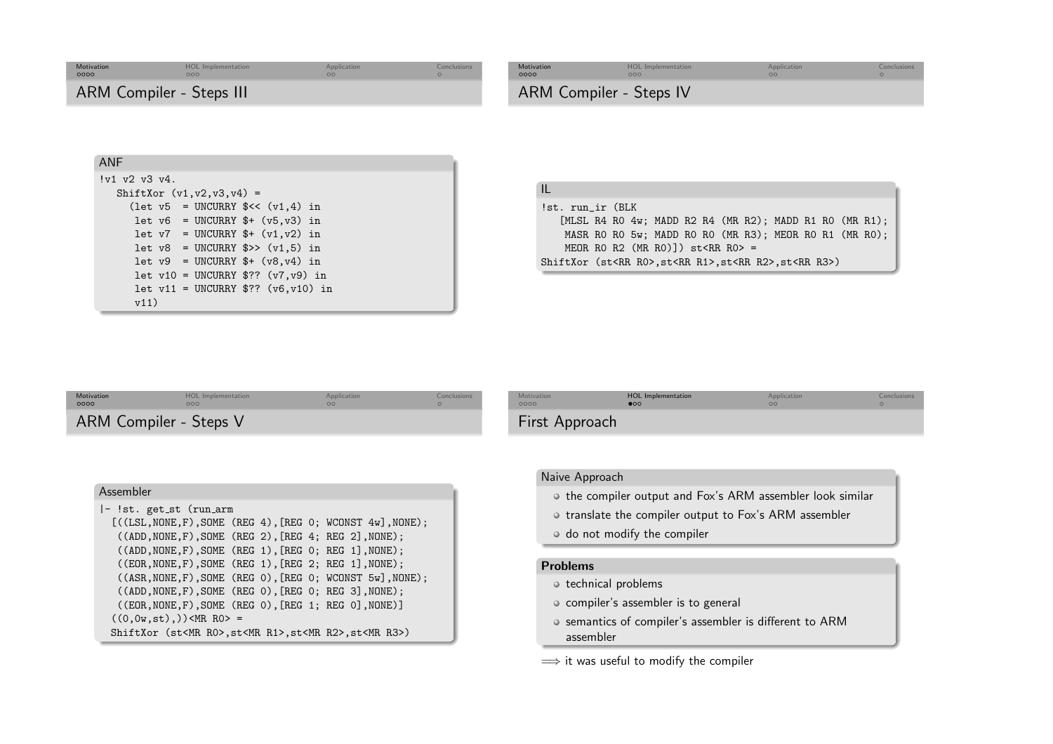<span id="page-2-0"></span>

| Motivation<br>0000       | <b>HOL</b> Implementation<br>000 | Application | Conclusions | Motivation<br>0000      | <b>HOL</b> Implementation | Application | Conclusions |
|--------------------------|----------------------------------|-------------|-------------|-------------------------|---------------------------|-------------|-------------|
| ARM Compiler - Steps III |                                  |             |             | ARM Compiler - Steps IV |                           |             |             |

## ANF

| !v1 v2 v3 v4. |      |  |                                                      |  |  |
|---------------|------|--|------------------------------------------------------|--|--|
|               |      |  | ShiftXor $(v1, v2, v3, v4)$ =                        |  |  |
|               |      |  | $\text{Let } v5 = \text{UNCURRY }$ \$<< $(v1, 4)$ in |  |  |
|               |      |  | $let v6 = UNCURRY $+(v5, v3) in$                     |  |  |
|               |      |  | let $v7 = UNCURRY$ \$+ $(v1, v2)$ in                 |  |  |
|               |      |  | let $v8 = UNCURRY$ \$>> $(v1,5)$ in                  |  |  |
|               |      |  | $let v9 = UNCURRY $+(v8,v4) in$                      |  |  |
|               |      |  | let $v10 = UNCURRY$ \$?? $(v7, v9)$ in               |  |  |
|               |      |  | $let v11 = UNCURRY$ \$?? $(v6, v10)$ in              |  |  |
|               | v11) |  |                                                      |  |  |

| $\mathbf{H}$                                                                        |  |                                             |  |  |                                                        |  |  |
|-------------------------------------------------------------------------------------|--|---------------------------------------------|--|--|--------------------------------------------------------|--|--|
| !st. run_ir (BLK                                                                    |  |                                             |  |  |                                                        |  |  |
| [MLSL R4 RO $4w$ ; MADD R2 R4 (MR R2); MADD R1 RO (MR R1);                          |  |                                             |  |  |                                                        |  |  |
|                                                                                     |  |                                             |  |  | MASR RO RO 5w; MADD RO RO (MR R3); MEOR RO R1 (MR RO); |  |  |
|                                                                                     |  | MEOR RO R2 (MR RO) $\vert$ ) st < RR RO > = |  |  |                                                        |  |  |
| ShiftXor (st <rr ro="">,st<rr r1="">,st<rr r2="">,st<rr r3="">)</rr></rr></rr></rr> |  |                                             |  |  |                                                        |  |  |

| Motivation             | <b>HOL</b> Implementation | Application | Conclusions |
|------------------------|---------------------------|-------------|-------------|
| 0000                   | 000                       | $\Omega$    |             |
| ARM Compiler - Steps V |                           |             |             |

| Assembler                                                                              |
|----------------------------------------------------------------------------------------|
| - !st. get_st (run_arm                                                                 |
| $[((LSL, NONE, F), SOME (REG 4), [REG 0; WCONST 4w], NONE);$                           |
| $((ADD, NODE, F), SOME (REG 2), [REG 4; REG 2], NONE);$                                |
| $((ADD, NONE, F), SOME (REG 1), [REG 0; REG 1], NONE);$                                |
| $((EOR, NONE, F), SOME (REG 1), [REG 2; REG 1], NONE);$                                |
| $((ASR, NONE, F), SOME (REG 0), [REG 0; WCONST 5w], NONE);$                            |
| $((ADD, NODE, F), SOME (REG 0), [REG 0; REG 3], NONE);$                                |
| ((EOR, NONE, F), SOME (REG 0), [REG 1; REG 0], NONE)]                                  |
| $((0, 0w, st),))$ <mr r0=""> =</mr>                                                    |
| ShiftXor (st <mr ro="">, st<mr r1="">, st<mr r2="">, st<mr r3="">)</mr></mr></mr></mr> |

| Motivation     | <b>HOL</b> Implementation | Application | Conclusions |
|----------------|---------------------------|-------------|-------------|
| 0000           | $\bullet$                 | $\Omega$    |             |
| First Approach |                           |             |             |

# Naive Approach

- the compiler output and Fox's ARM assembler look similar
- translate the compiler output to Fox's ARM assembler
- $\circ$  do not modify the compiler

### Problems

- technical problems
- compiler's assembler is to genera<sup>l</sup>
- semantics of compiler's assembler is different to ARMassembler

 $\Longrightarrow$  it was useful to modify the compiler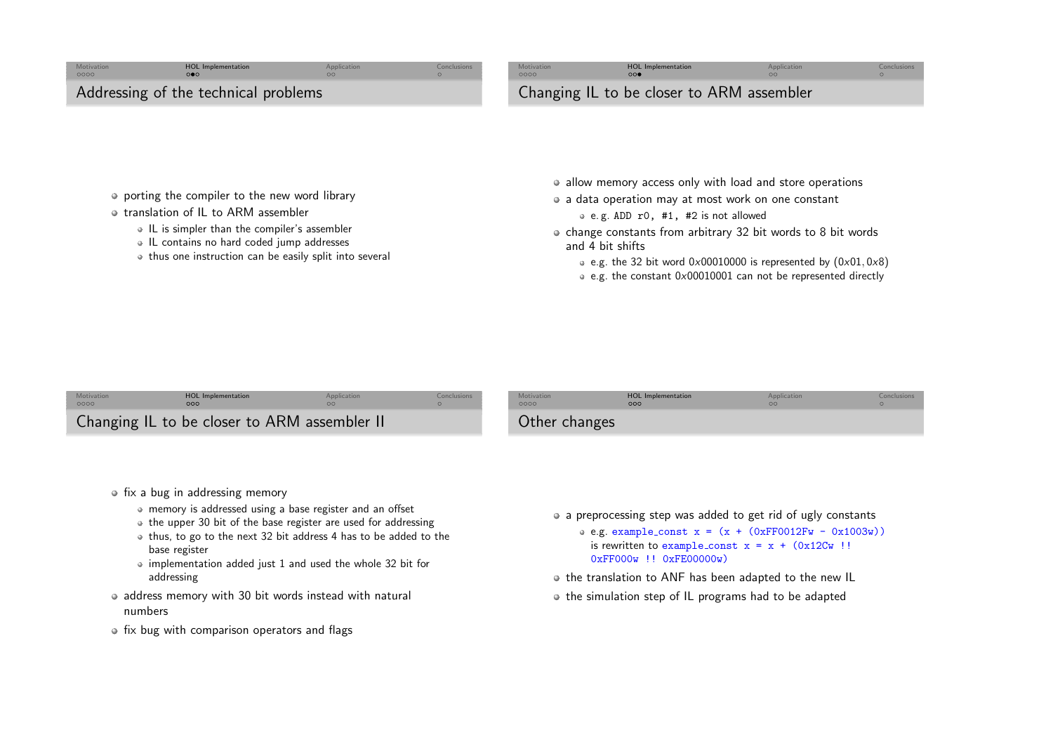

- porting the compiler to the new word library
- translation of IL to ARM assembler
	- IL is simpler than the compiler's assembler
	- IL contains no hard coded jump addresses
	- thus one instruction can be easily split into several
- o allow memory access only with load and store operations
- a data operation may at most work on one constant
	- e. g. ADD r0, #1, #2 is not allowed
- change constants from arbitrary <sup>32</sup> bit words to <sup>8</sup> bit wordsand <sup>4</sup> bit shifts
	- e.g. the 32 bit word  $0 \times 00010000$  is represented by  $(0 \times 01, 0 \times 8)$
	- e.g. the constant 0x00010001 can not be represented directly

| Motivation<br>0000 | <b>HOL</b> Implementation                    | Application | Conclusions | Motivation<br>0000 | <b>HOL</b> Implementation | Application | Conclusion |
|--------------------|----------------------------------------------|-------------|-------------|--------------------|---------------------------|-------------|------------|
|                    | Changing IL to be closer to ARM assembler II |             |             | Other changes      |                           |             |            |

- $\bullet$  fix a bug in addressing memory
	- memory is addressed using <sup>a</sup> base register and an offset
	- the upper <sup>30</sup> bit of the base register are used for addressing
	- thus, to go to the next <sup>32</sup> bit address <sup>4</sup> has to be added to thebase register
	- implementation added just <sup>1</sup> and used the whole <sup>32</sup> bit foraddressing
- address memory with 30 bit words instead with natural numbers
- $\bullet$  fix bug with comparison operators and flags

• a preprocessing step was added to get rid of ugly constants

e.g. example\_const x =  $(x + (0xFF0012Fw - 0x1003w))$ is rewritten to example\_const  $x = x + (0x12Cw)$ ! 0xFF000w !! 0xFE00000w)

- o the translation to ANF has been adapted to the new IL
- o the simulation step of IL programs had to be adapted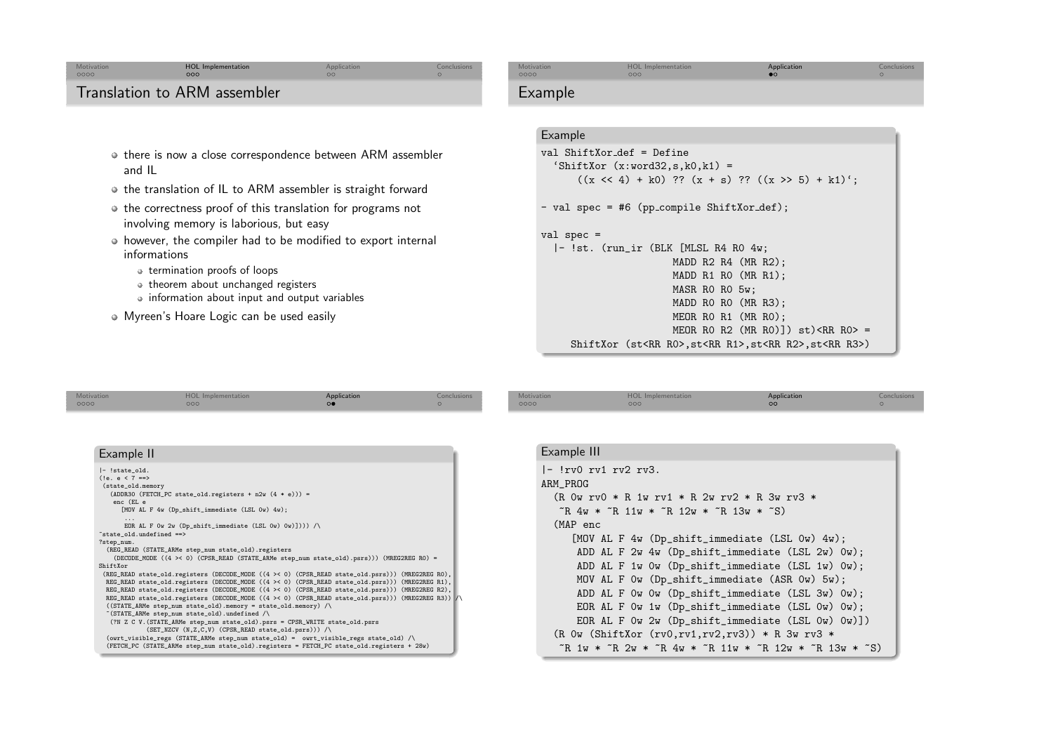| Motivation<br>0000 | <b>HOL</b> Implementation<br>000 | Application | Conclusions <sup>*</sup> | Motivation<br>0000 | <b>HOL</b> Implementation<br>000 | Application |  |
|--------------------|----------------------------------|-------------|--------------------------|--------------------|----------------------------------|-------------|--|
|                    | Translation to ARM assembler     |             |                          | Example            |                                  |             |  |

- $\bullet$  there is now a close correspondence between ARM assembler and IL
- the translation of IL to ARM assembler is straight forward
- the correctness proof of this translation for programs notinvolving memory is laborious, but easy
- however, the compiler had to be modified to export internal informations
	- termination proofs of loops
	- theorem about unchanged registers
	- information about input and output variables
- Myreen's Hoare Logic can be used easily

# Example

```

val ShiftXor def = Define
  '\text{ShiftXor } (x:word32, s, k0, k1) =((x \le 4) + k0) ?? (x + s) ?? ((x \ge 5) + k1)';
- val spec = #6 (pp_compile ShiftXor_def);
val spec =
 |- !st. (run_ir (BLK [MLSL R4 R0 4w;
                       MADD R2 R4 (MR R2);
                       MADD R1 R0 (MR R1);
                       MASR R0 R0 5w;
                       MADD R0 R0 (MR R3);
                       MEOR R0 R1 (MR R0);
                       MEOR RO R2 (MR RO)]) st) <RR RO> =
     ShiftXor (st<RR R0>,st<RR R1>,st<RR R2>,st<RR R3>)
```

| Motivation<br>0000                                                                                                                                    | HOL Implementation<br>000                                                                                                                                                                                                                                                                                                                                                                                                                                                                                                                                                                                                                                                                                                                                                                                                                                                                                                                                                                              | Application<br>$\Omega$ | Conclusions<br>$\circ$ | Motivation<br>0000                  | <b>HOL</b> Implementation<br>000                                                                                                                                                                                                                                                                                                                                                                                                                                                                                                                                                                                                                                         | Application<br>$\circ$ | Conclusions<br>$\Omega$ |
|-------------------------------------------------------------------------------------------------------------------------------------------------------|--------------------------------------------------------------------------------------------------------------------------------------------------------------------------------------------------------------------------------------------------------------------------------------------------------------------------------------------------------------------------------------------------------------------------------------------------------------------------------------------------------------------------------------------------------------------------------------------------------------------------------------------------------------------------------------------------------------------------------------------------------------------------------------------------------------------------------------------------------------------------------------------------------------------------------------------------------------------------------------------------------|-------------------------|------------------------|-------------------------------------|--------------------------------------------------------------------------------------------------------------------------------------------------------------------------------------------------------------------------------------------------------------------------------------------------------------------------------------------------------------------------------------------------------------------------------------------------------------------------------------------------------------------------------------------------------------------------------------------------------------------------------------------------------------------------|------------------------|-------------------------|
| Example II<br>$ -$ !state_old.<br>$\frac{1}{e}$ . e < 7 = = ><br>(state_old.memory<br>enc (EL e<br>"state_old.undefined ==><br>?step_num.<br>ShiftXor | (ADDR30 (FETCH_PC state_old.registers + n2w $(4 * e))$ ) =<br>[MOV AL F 4w (Dp_shift_immediate (LSL Ow) 4w);<br>EOR AL F Ow 2w (Dp_shift_immediate (LSL Ow) $0w$ )]))) /<br>(REG_READ (STATE_ARMe step_num state_old).registers<br>(DECODE_MODE ((4 >< 0) (CPSR_READ (STATE_ARMe step_num state_old).psrs))) (MREG2REG RO) =<br>(REG_READ state_old.registers (DECODE_MODE ((4 >< 0) (CPSR_READ state_old.psrs))) (MREG2REG RO),<br>REG_READ state_old.registers (DECODE_MODE ((4 >< 0) (CPSR_READ state_old.psrs))) (MREG2REG R1),<br>REG_READ state_old.registers (DECODE_MODE ((4 >< 0) (CPSR_READ state_old.psrs))) (MREG2REG R2),<br>REG_READ state_old.registers (DECODE_MODE ((4 >< 0) (CPSR_READ state_old.psrs))) (MREG2REG R3))  /\<br>((STATE_ARMe step_num state_old).memory = state_old.memory) /\<br>"(STATE_ARMe step_num state_old).undefined /\<br>(?N Z C V. (STATE_ARMe step_num state_old).psrs = CPSR_WRITE state_old.psrs<br>(SET_NZCV (N,Z,C,V) (CPSR_READ state_old.psrs))) /\ |                         |                        | Example III<br>ARM_PROG<br>(MAP enc | $\vert$ - $\vert$ rv $\vert$ rv $\vert$ rv $\vert$ rv $\vert$ .<br>$(R$ Ow rvO * R 1w rv1 * R 2w rv2 * R 3w rv3 *<br>$\tilde{R}$ 4w * $\tilde{R}$ 11w * $\tilde{R}$ 12w * $\tilde{R}$ 13w * $\tilde{S}$ )<br>[MOV AL F $4w$ (Dp_shift_immediate (LSL $0w$ ) $4w$ );<br>ADD AL F $2w 4w (Dp_{shift\_immediate} (LSL 2w) 0w);$<br>ADD AL F 1w 0w (Dp_shift_immediate (LSL 1w) 0w);<br>MOV AL F $0w$ (Dp_shift_immediate (ASR $0w$ ) $5w$ );<br>ADD AL F Ow Ow $(Dp_{shift\_immediate} (LSL 3w) 0w);$<br>EOR AL F Ow 1w (Dp_shift_immediate (LSL Ow) Ow);<br>EOR AL F Ow $2w$ (Dp_shift_immediate (LSL Ow) $0w$ )])<br>$(R$ Ow (ShiftXor $(rv0,rv1,rv2,rv3)$ ) * R 3w rv3 * |                        |                         |
|                                                                                                                                                       | (owrt_visible_regs (STATE_ARMe step_num state_old) = owrt_visible_regs state_old) /\<br>(FETCH_PC (STATE_ARMe step_num state_old).registers = FETCH_PC state_old.registers + 28w)                                                                                                                                                                                                                                                                                                                                                                                                                                                                                                                                                                                                                                                                                                                                                                                                                      |                         |                        |                                     | $R_1w * R_2w * R_4w * R_1w * R_1w * R_12w * R_13w * S$                                                                                                                                                                                                                                                                                                                                                                                                                                                                                                                                                                                                                   |                        |                         |